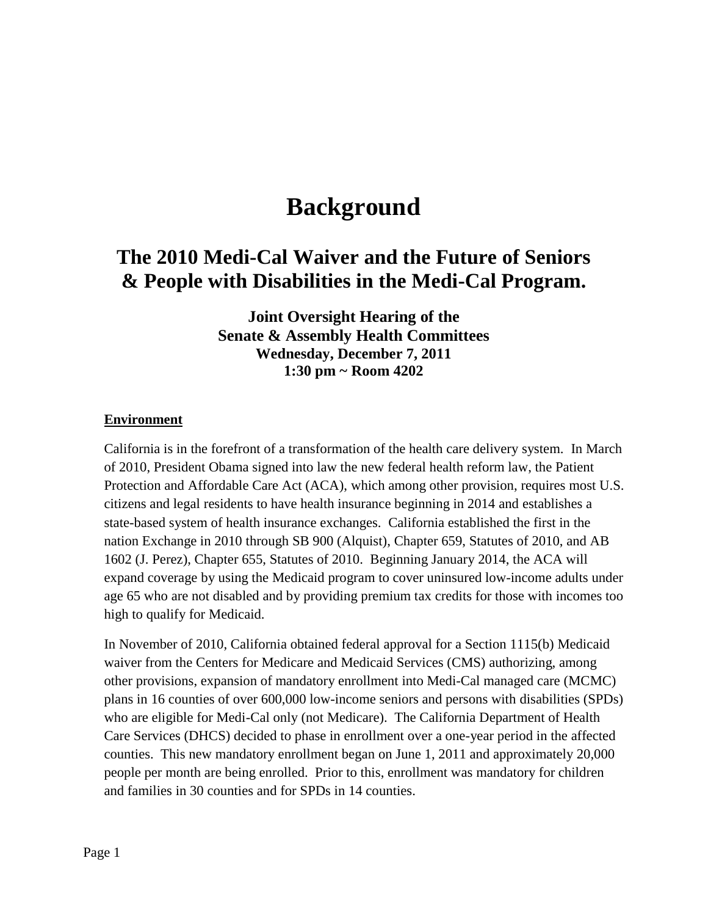# **Background**

# **The 2010 Medi-Cal Waiver and the Future of Seniors & People with Disabilities in the Medi-Cal Program.**

**Joint Oversight Hearing of the Senate & Assembly Health Committees Wednesday, December 7, 2011 1:30 pm ~ Room 4202**

#### **Environment**

California is in the forefront of a transformation of the health care delivery system. In March of 2010, President Obama signed into law the new federal health reform law, the Patient Protection and Affordable Care Act (ACA), which among other provision, requires most U.S. citizens and legal residents to have health insurance beginning in 2014 and establishes a state-based system of health insurance exchanges. California established the first in the nation Exchange in 2010 through SB 900 (Alquist), Chapter 659, Statutes of 2010, and AB 1602 (J. Perez), Chapter 655, Statutes of 2010. Beginning January 2014, the ACA will expand coverage by using the Medicaid program to cover uninsured low-income adults under age 65 who are not disabled and by providing premium tax credits for those with incomes too high to qualify for Medicaid.

In November of 2010, California obtained federal approval for a Section 1115(b) Medicaid waiver from the Centers for Medicare and Medicaid Services (CMS) authorizing, among other provisions, expansion of mandatory enrollment into Medi-Cal managed care (MCMC) plans in 16 counties of over 600,000 low-income seniors and persons with disabilities (SPDs) who are eligible for Medi-Cal only (not Medicare). The California Department of Health Care Services (DHCS) decided to phase in enrollment over a one-year period in the affected counties. This new mandatory enrollment began on June 1, 2011 and approximately 20,000 people per month are being enrolled. Prior to this, enrollment was mandatory for children and families in 30 counties and for SPDs in 14 counties.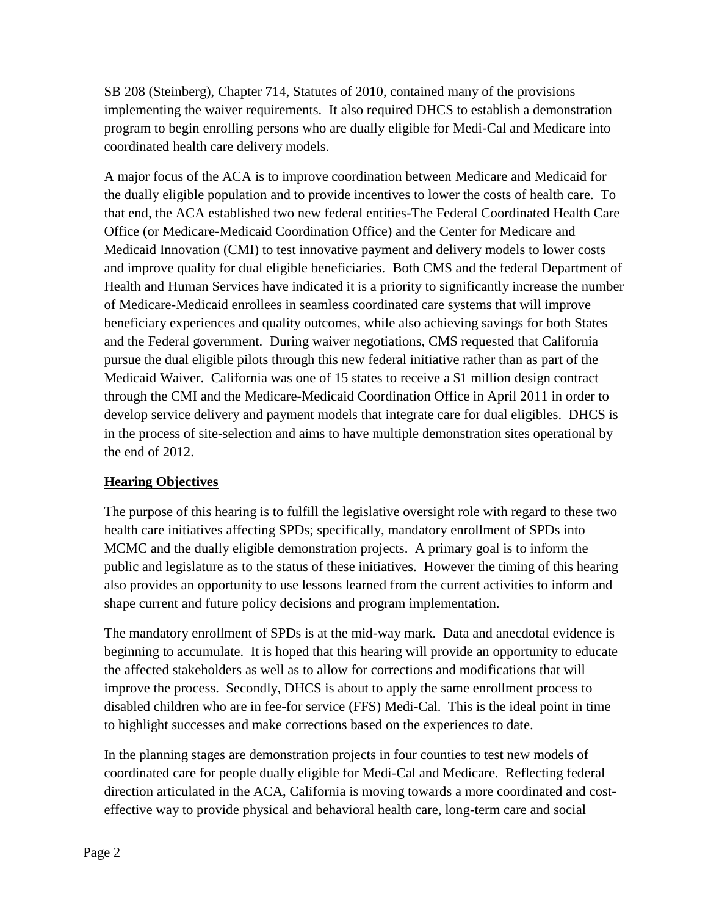SB 208 (Steinberg), Chapter 714, Statutes of 2010, contained many of the provisions implementing the waiver requirements. It also required DHCS to establish a demonstration program to begin enrolling persons who are dually eligible for Medi-Cal and Medicare into coordinated health care delivery models.

A major focus of the ACA is to improve coordination between Medicare and Medicaid for the dually eligible population and to provide incentives to lower the costs of health care. To that end, the ACA established two new federal entities-The Federal Coordinated Health Care Office (or Medicare-Medicaid Coordination Office) and the Center for Medicare and Medicaid Innovation (CMI) to test innovative payment and delivery models to lower costs and improve quality for dual eligible beneficiaries. Both CMS and the federal Department of Health and Human Services have indicated it is a priority to significantly increase the number of Medicare-Medicaid enrollees in seamless coordinated care systems that will improve beneficiary experiences and quality outcomes, while also achieving savings for both States and the Federal government. During waiver negotiations, CMS requested that California pursue the dual eligible pilots through this new federal initiative rather than as part of the Medicaid Waiver. California was one of 15 states to receive a \$1 million design contract through the CMI and the Medicare-Medicaid Coordination Office in April 2011 in order to develop service delivery and payment models that integrate care for dual eligibles. DHCS is in the process of site-selection and aims to have multiple demonstration sites operational by the end of 2012.

# **Hearing Objectives**

The purpose of this hearing is to fulfill the legislative oversight role with regard to these two health care initiatives affecting SPDs; specifically, mandatory enrollment of SPDs into MCMC and the dually eligible demonstration projects. A primary goal is to inform the public and legislature as to the status of these initiatives. However the timing of this hearing also provides an opportunity to use lessons learned from the current activities to inform and shape current and future policy decisions and program implementation.

The mandatory enrollment of SPDs is at the mid-way mark. Data and anecdotal evidence is beginning to accumulate. It is hoped that this hearing will provide an opportunity to educate the affected stakeholders as well as to allow for corrections and modifications that will improve the process. Secondly, DHCS is about to apply the same enrollment process to disabled children who are in fee-for service (FFS) Medi-Cal. This is the ideal point in time to highlight successes and make corrections based on the experiences to date.

In the planning stages are demonstration projects in four counties to test new models of coordinated care for people dually eligible for Medi-Cal and Medicare. Reflecting federal direction articulated in the ACA, California is moving towards a more coordinated and costeffective way to provide physical and behavioral health care, long-term care and social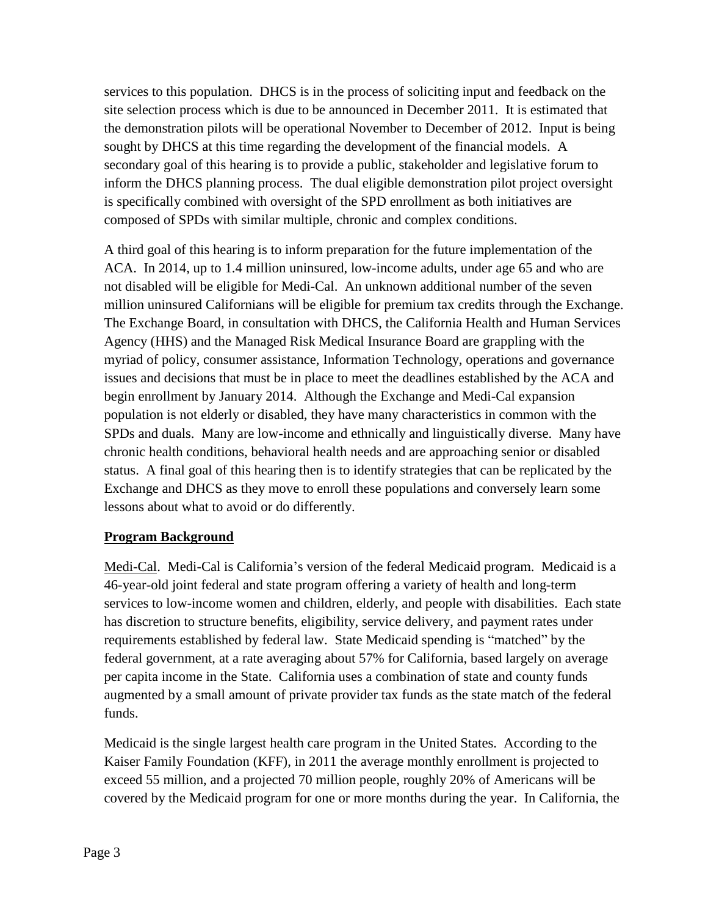services to this population. DHCS is in the process of soliciting input and feedback on the site selection process which is due to be announced in December 2011. It is estimated that the demonstration pilots will be operational November to December of 2012. Input is being sought by DHCS at this time regarding the development of the financial models. A secondary goal of this hearing is to provide a public, stakeholder and legislative forum to inform the DHCS planning process. The dual eligible demonstration pilot project oversight is specifically combined with oversight of the SPD enrollment as both initiatives are composed of SPDs with similar multiple, chronic and complex conditions.

A third goal of this hearing is to inform preparation for the future implementation of the ACA. In 2014, up to 1.4 million uninsured, low-income adults, under age 65 and who are not disabled will be eligible for Medi-Cal. An unknown additional number of the seven million uninsured Californians will be eligible for premium tax credits through the Exchange. The Exchange Board, in consultation with DHCS, the California Health and Human Services Agency (HHS) and the Managed Risk Medical Insurance Board are grappling with the myriad of policy, consumer assistance, Information Technology, operations and governance issues and decisions that must be in place to meet the deadlines established by the ACA and begin enrollment by January 2014. Although the Exchange and Medi-Cal expansion population is not elderly or disabled, they have many characteristics in common with the SPDs and duals. Many are low-income and ethnically and linguistically diverse. Many have chronic health conditions, behavioral health needs and are approaching senior or disabled status. A final goal of this hearing then is to identify strategies that can be replicated by the Exchange and DHCS as they move to enroll these populations and conversely learn some lessons about what to avoid or do differently.

# **Program Background**

Medi-Cal. Medi-Cal is California's version of the federal Medicaid program. Medicaid is a 46-year-old joint federal and state program offering a variety of health and long-term services to low-income women and children, elderly, and people with disabilities. Each state has discretion to structure benefits, eligibility, service delivery, and payment rates under requirements established by federal law. State Medicaid spending is "matched" by the federal government, at a rate averaging about 57% for California, based largely on average per capita income in the State. California uses a combination of state and county funds augmented by a small amount of private provider tax funds as the state match of the federal funds.

Medicaid is the single largest health care program in the United States. According to the Kaiser Family Foundation (KFF), in 2011 the average monthly enrollment is projected to exceed 55 million, and a projected 70 million people, roughly 20% of Americans will be covered by the Medicaid program for one or more months during the year. In California, the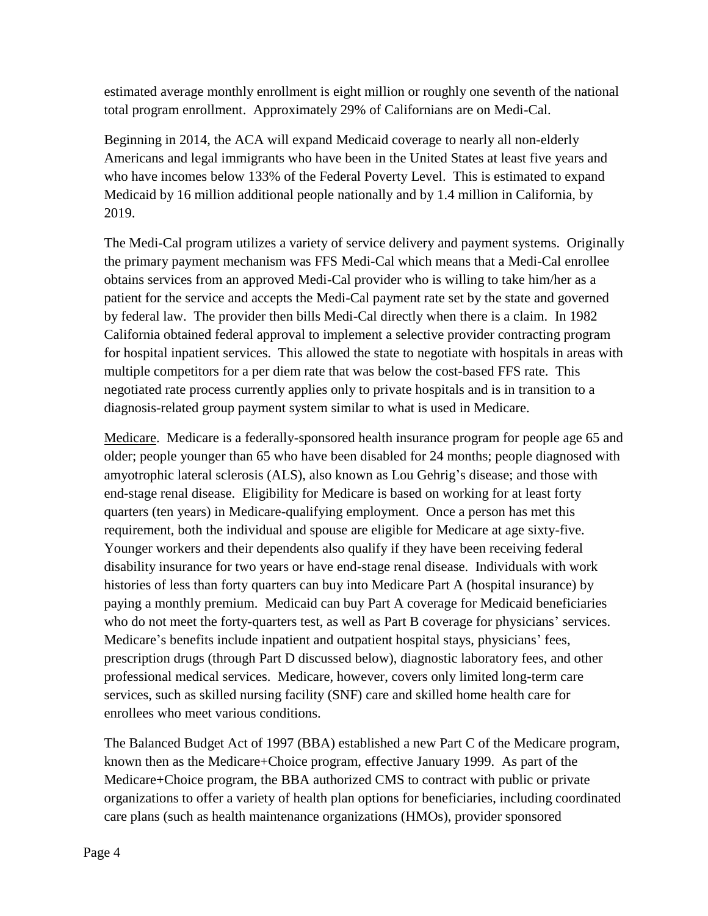estimated average monthly enrollment is eight million or roughly one seventh of the national total program enrollment. Approximately 29% of Californians are on Medi-Cal.

Beginning in 2014, the ACA will expand Medicaid coverage to nearly all non-elderly Americans and legal immigrants who have been in the United States at least five years and who have incomes below 133% of the Federal Poverty Level. This is estimated to expand Medicaid by 16 million additional people nationally and by 1.4 million in California, by 2019.

The Medi-Cal program utilizes a variety of service delivery and payment systems. Originally the primary payment mechanism was FFS Medi-Cal which means that a Medi-Cal enrollee obtains services from an approved Medi-Cal provider who is willing to take him/her as a patient for the service and accepts the Medi-Cal payment rate set by the state and governed by federal law. The provider then bills Medi-Cal directly when there is a claim. In 1982 California obtained federal approval to implement a selective provider contracting program for hospital inpatient services. This allowed the state to negotiate with hospitals in areas with multiple competitors for a per diem rate that was below the cost-based FFS rate. This negotiated rate process currently applies only to private hospitals and is in transition to a diagnosis-related group payment system similar to what is used in Medicare.

Medicare. Medicare is a federally-sponsored health insurance program for people age 65 and older; people younger than 65 who have been disabled for 24 months; people diagnosed with amyotrophic lateral sclerosis (ALS), also known as Lou Gehrig's disease; and those with end-stage renal disease. Eligibility for Medicare is based on working for at least forty quarters (ten years) in Medicare-qualifying employment. Once a person has met this requirement, both the individual and spouse are eligible for Medicare at age sixty-five. Younger workers and their dependents also qualify if they have been receiving federal disability insurance for two years or have end-stage renal disease. Individuals with work histories of less than forty quarters can buy into Medicare Part A (hospital insurance) by paying a monthly premium. Medicaid can buy Part A coverage for Medicaid beneficiaries who do not meet the forty-quarters test, as well as Part B coverage for physicians' services. Medicare's benefits include inpatient and outpatient hospital stays, physicians' fees, prescription drugs (through Part D discussed below), diagnostic laboratory fees, and other professional medical services. Medicare, however, covers only limited long-term care services, such as skilled nursing facility (SNF) care and skilled home health care for enrollees who meet various conditions.

The Balanced Budget Act of 1997 (BBA) established a new Part C of the Medicare program, known then as the Medicare+Choice program, effective January 1999. As part of the Medicare+Choice program, the BBA authorized CMS to contract with public or private organizations to offer a variety of health plan options for beneficiaries, including coordinated care plans (such as health maintenance organizations (HMOs), provider sponsored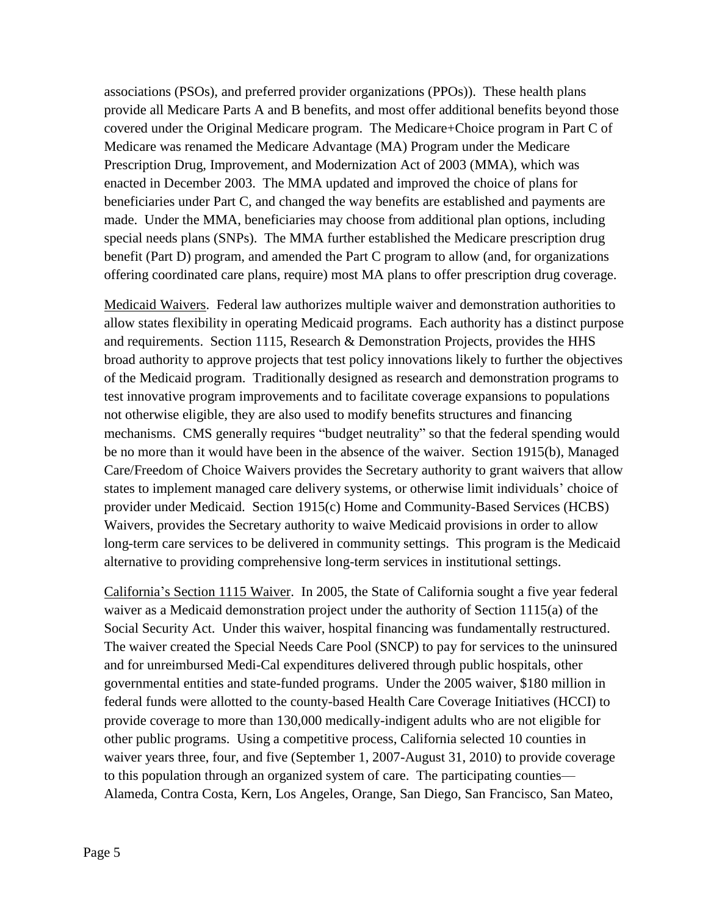associations (PSOs), and preferred provider organizations (PPOs)). These health plans provide all Medicare Parts A and B benefits, and most offer additional benefits beyond those covered under the Original Medicare program. The Medicare+Choice program in Part C of Medicare was renamed the Medicare Advantage (MA) Program under the Medicare Prescription Drug, Improvement, and Modernization Act of 2003 (MMA), which was enacted in December 2003. The MMA updated and improved the choice of plans for beneficiaries under Part C, and changed the way benefits are established and payments are made. Under the MMA, beneficiaries may choose from additional plan options, including special needs plans (SNPs). The MMA further established the Medicare prescription drug benefit (Part D) program, and amended the Part C program to allow (and, for organizations offering coordinated care plans, require) most MA plans to offer prescription drug coverage.

Medicaid Waivers. Federal law authorizes multiple waiver and demonstration authorities to allow states flexibility in operating Medicaid programs. Each authority has a distinct purpose and requirements. Section 1115, Research & Demonstration Projects, provides the HHS broad authority to approve projects that test policy innovations likely to further the objectives of the Medicaid program. Traditionally designed as research and demonstration programs to test innovative program improvements and to facilitate coverage expansions to populations not otherwise eligible, they are also used to modify benefits structures and financing mechanisms. CMS generally requires "budget neutrality" so that the federal spending would be no more than it would have been in the absence of the waiver. Section 1915(b), Managed Care/Freedom of Choice Waivers provides the Secretary authority to grant waivers that allow states to implement managed care delivery systems, or otherwise limit individuals' choice of provider under Medicaid. Section 1915(c) Home and Community-Based Services (HCBS) Waivers, provides the Secretary authority to waive Medicaid provisions in order to allow long-term care services to be delivered in community settings. This program is the Medicaid alternative to providing comprehensive long-term services in institutional settings.

California's Section 1115 Waiver. In 2005, the State of California sought a five year federal waiver as a Medicaid demonstration project under the authority of Section 1115(a) of the Social Security Act. Under this waiver, hospital financing was fundamentally restructured. The waiver created the Special Needs Care Pool (SNCP) to pay for services to the uninsured and for unreimbursed Medi-Cal expenditures delivered through public hospitals, other governmental entities and state-funded programs. Under the 2005 waiver, \$180 million in federal funds were allotted to the county-based Health Care Coverage Initiatives (HCCI) to provide coverage to more than 130,000 medically-indigent adults who are not eligible for other public programs. Using a competitive process, California selected 10 counties in waiver years three, four, and five (September 1, 2007-August 31, 2010) to provide coverage to this population through an organized system of care. The participating counties— Alameda, Contra Costa, Kern, Los Angeles, Orange, San Diego, San Francisco, San Mateo,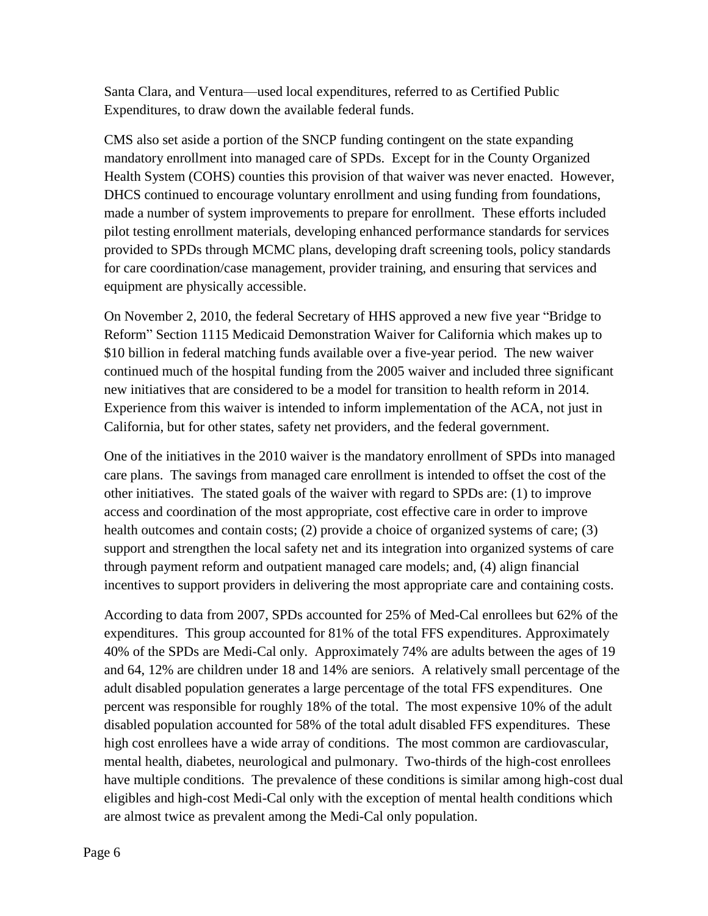Santa Clara, and Ventura—used local expenditures, referred to as Certified Public Expenditures, to draw down the available federal funds.

CMS also set aside a portion of the SNCP funding contingent on the state expanding mandatory enrollment into managed care of SPDs. Except for in the County Organized Health System (COHS) counties this provision of that waiver was never enacted. However, DHCS continued to encourage voluntary enrollment and using funding from foundations, made a number of system improvements to prepare for enrollment. These efforts included pilot testing enrollment materials, developing enhanced performance standards for services provided to SPDs through MCMC plans, developing draft screening tools, policy standards for care coordination/case management, provider training, and ensuring that services and equipment are physically accessible.

On November 2, 2010, the federal Secretary of HHS approved a new five year "Bridge to Reform" Section 1115 Medicaid Demonstration Waiver for California which makes up to \$10 billion in federal matching funds available over a five-year period. The new waiver continued much of the hospital funding from the 2005 waiver and included three significant new initiatives that are considered to be a model for transition to health reform in 2014. Experience from this waiver is intended to inform implementation of the ACA, not just in California, but for other states, safety net providers, and the federal government.

One of the initiatives in the 2010 waiver is the mandatory enrollment of SPDs into managed care plans. The savings from managed care enrollment is intended to offset the cost of the other initiatives. The stated goals of the waiver with regard to SPDs are: (1) to improve access and coordination of the most appropriate, cost effective care in order to improve health outcomes and contain costs; (2) provide a choice of organized systems of care; (3) support and strengthen the local safety net and its integration into organized systems of care through payment reform and outpatient managed care models; and, (4) align financial incentives to support providers in delivering the most appropriate care and containing costs.

According to data from 2007, SPDs accounted for 25% of Med-Cal enrollees but 62% of the expenditures. This group accounted for 81% of the total FFS expenditures. Approximately 40% of the SPDs are Medi-Cal only. Approximately 74% are adults between the ages of 19 and 64, 12% are children under 18 and 14% are seniors. A relatively small percentage of the adult disabled population generates a large percentage of the total FFS expenditures. One percent was responsible for roughly 18% of the total. The most expensive 10% of the adult disabled population accounted for 58% of the total adult disabled FFS expenditures. These high cost enrollees have a wide array of conditions. The most common are cardiovascular, mental health, diabetes, neurological and pulmonary. Two-thirds of the high-cost enrollees have multiple conditions. The prevalence of these conditions is similar among high-cost dual eligibles and high-cost Medi-Cal only with the exception of mental health conditions which are almost twice as prevalent among the Medi-Cal only population.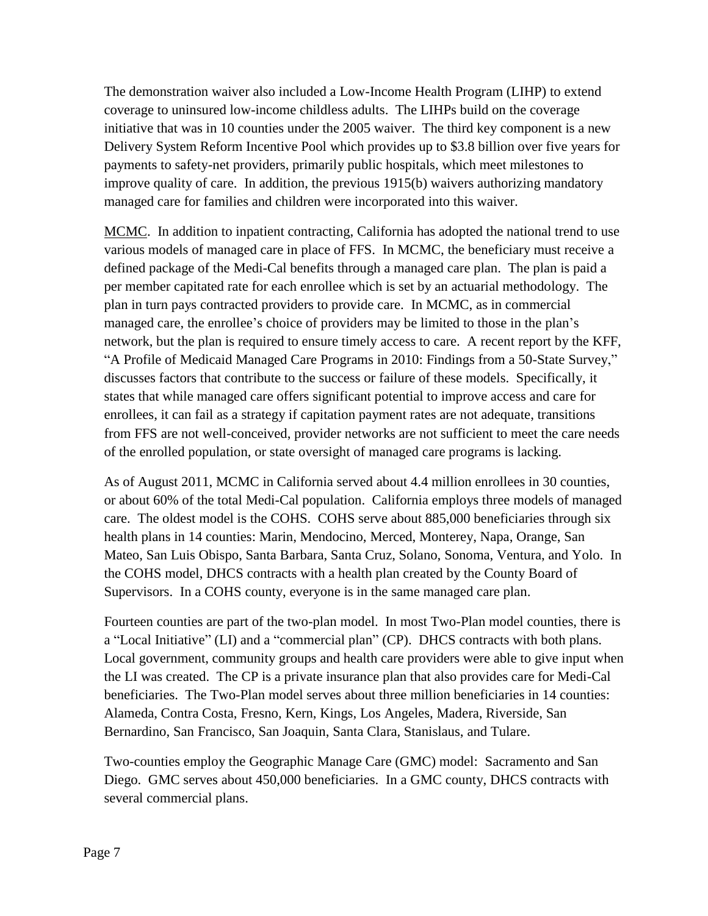The demonstration waiver also included a Low-Income Health Program (LIHP) to extend coverage to uninsured low-income childless adults. The LIHPs build on the coverage initiative that was in 10 counties under the 2005 waiver. The third key component is a new Delivery System Reform Incentive Pool which provides up to \$3.8 billion over five years for payments to safety-net providers, primarily public hospitals, which meet milestones to improve quality of care. In addition, the previous 1915(b) waivers authorizing mandatory managed care for families and children were incorporated into this waiver.

MCMC. In addition to inpatient contracting, California has adopted the national trend to use various models of managed care in place of FFS. In MCMC, the beneficiary must receive a defined package of the Medi-Cal benefits through a managed care plan. The plan is paid a per member capitated rate for each enrollee which is set by an actuarial methodology. The plan in turn pays contracted providers to provide care. In MCMC, as in commercial managed care, the enrollee's choice of providers may be limited to those in the plan's network, but the plan is required to ensure timely access to care. A recent report by the KFF, "A Profile of Medicaid Managed Care Programs in 2010: Findings from a 50-State Survey," discusses factors that contribute to the success or failure of these models. Specifically, it states that while managed care offers significant potential to improve access and care for enrollees, it can fail as a strategy if capitation payment rates are not adequate, transitions from FFS are not well-conceived, provider networks are not sufficient to meet the care needs of the enrolled population, or state oversight of managed care programs is lacking.

As of August 2011, MCMC in California served about 4.4 million enrollees in 30 counties, or about 60% of the total Medi-Cal population. California employs three models of managed care. The oldest model is the COHS. COHS serve about 885,000 beneficiaries through six health plans in 14 counties: Marin, Mendocino, Merced, Monterey, Napa, Orange, San Mateo, San Luis Obispo, Santa Barbara, Santa Cruz, Solano, Sonoma, Ventura, and Yolo. In the COHS model, DHCS contracts with a health plan created by the County Board of Supervisors. In a COHS county, everyone is in the same managed care plan.

Fourteen counties are part of the two-plan model. In most Two-Plan model counties, there is a "Local Initiative" (LI) and a "commercial plan" (CP). DHCS contracts with both plans. Local government, community groups and health care providers were able to give input when the LI was created. The CP is a private insurance plan that also provides care for Medi-Cal beneficiaries. The Two-Plan model serves about three million beneficiaries in 14 counties: Alameda, Contra Costa, Fresno, Kern, Kings, Los Angeles, Madera, Riverside, San Bernardino, San Francisco, San Joaquin, Santa Clara, Stanislaus, and Tulare.

Two-counties employ the Geographic Manage Care (GMC) model: Sacramento and San Diego. GMC serves about 450,000 beneficiaries. In a GMC county, DHCS contracts with several commercial plans.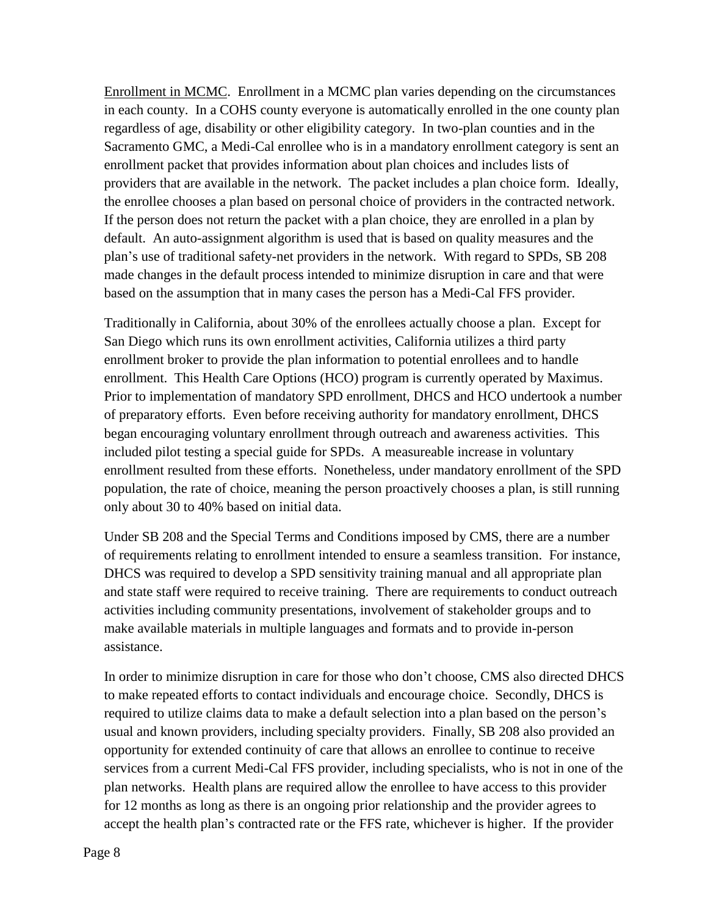Enrollment in MCMC. Enrollment in a MCMC plan varies depending on the circumstances in each county. In a COHS county everyone is automatically enrolled in the one county plan regardless of age, disability or other eligibility category. In two-plan counties and in the Sacramento GMC, a Medi-Cal enrollee who is in a mandatory enrollment category is sent an enrollment packet that provides information about plan choices and includes lists of providers that are available in the network. The packet includes a plan choice form. Ideally, the enrollee chooses a plan based on personal choice of providers in the contracted network. If the person does not return the packet with a plan choice, they are enrolled in a plan by default. An auto-assignment algorithm is used that is based on quality measures and the plan's use of traditional safety-net providers in the network. With regard to SPDs, SB 208 made changes in the default process intended to minimize disruption in care and that were based on the assumption that in many cases the person has a Medi-Cal FFS provider.

Traditionally in California, about 30% of the enrollees actually choose a plan. Except for San Diego which runs its own enrollment activities, California utilizes a third party enrollment broker to provide the plan information to potential enrollees and to handle enrollment. This Health Care Options (HCO) program is currently operated by Maximus. Prior to implementation of mandatory SPD enrollment, DHCS and HCO undertook a number of preparatory efforts. Even before receiving authority for mandatory enrollment, DHCS began encouraging voluntary enrollment through outreach and awareness activities. This included pilot testing a special guide for SPDs. A measureable increase in voluntary enrollment resulted from these efforts. Nonetheless, under mandatory enrollment of the SPD population, the rate of choice, meaning the person proactively chooses a plan, is still running only about 30 to 40% based on initial data.

Under SB 208 and the Special Terms and Conditions imposed by CMS, there are a number of requirements relating to enrollment intended to ensure a seamless transition. For instance, DHCS was required to develop a SPD sensitivity training manual and all appropriate plan and state staff were required to receive training. There are requirements to conduct outreach activities including community presentations, involvement of stakeholder groups and to make available materials in multiple languages and formats and to provide in-person assistance.

In order to minimize disruption in care for those who don't choose, CMS also directed DHCS to make repeated efforts to contact individuals and encourage choice. Secondly, DHCS is required to utilize claims data to make a default selection into a plan based on the person's usual and known providers, including specialty providers. Finally, SB 208 also provided an opportunity for extended continuity of care that allows an enrollee to continue to receive services from a current Medi-Cal FFS provider, including specialists, who is not in one of the plan networks. Health plans are required allow the enrollee to have access to this provider for 12 months as long as there is an ongoing prior relationship and the provider agrees to accept the health plan's contracted rate or the FFS rate, whichever is higher. If the provider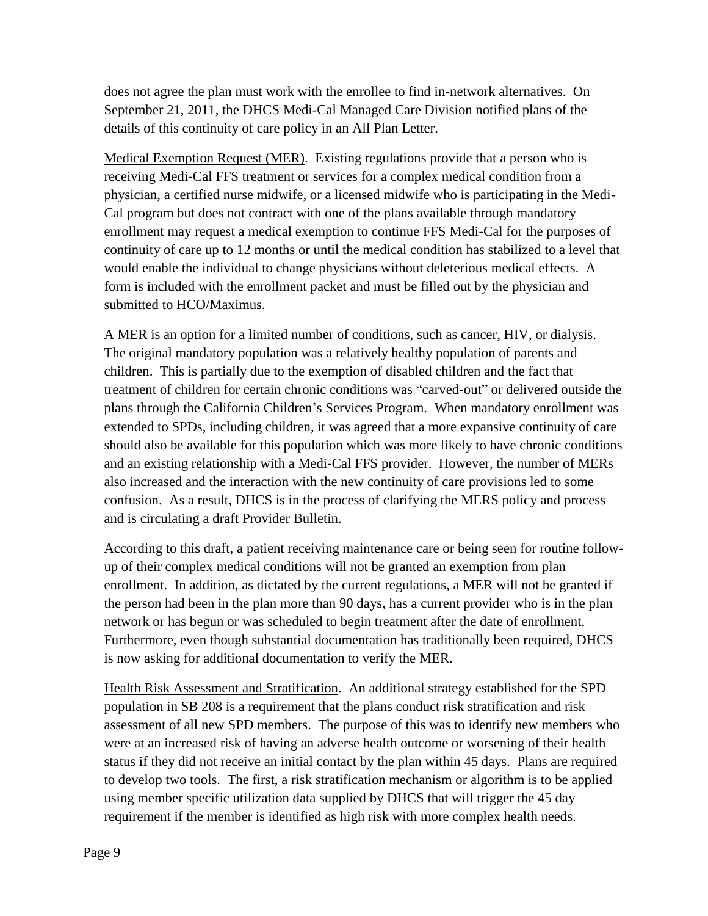does not agree the plan must work with the enrollee to find in-network alternatives. On September 21, 2011, the DHCS Medi-Cal Managed Care Division notified plans of the details of this continuity of care policy in an All Plan Letter.

Medical Exemption Request (MER). Existing regulations provide that a person who is receiving Medi-Cal FFS treatment or services for a complex medical condition from a physician, a certified nurse midwife, or a licensed midwife who is participating in the Medi-Cal program but does not contract with one of the plans available through mandatory enrollment may request a medical exemption to continue FFS Medi-Cal for the purposes of continuity of care up to 12 months or until the medical condition has stabilized to a level that would enable the individual to change physicians without deleterious medical effects. A form is included with the enrollment packet and must be filled out by the physician and submitted to HCO/Maximus.

A MER is an option for a limited number of conditions, such as cancer, HIV, or dialysis. The original mandatory population was a relatively healthy population of parents and children. This is partially due to the exemption of disabled children and the fact that treatment of children for certain chronic conditions was "carved-out" or delivered outside the plans through the California Children's Services Program. When mandatory enrollment was extended to SPDs, including children, it was agreed that a more expansive continuity of care should also be available for this population which was more likely to have chronic conditions and an existing relationship with a Medi-Cal FFS provider. However, the number of MERs also increased and the interaction with the new continuity of care provisions led to some confusion. As a result, DHCS is in the process of clarifying the MERS policy and process and is circulating a draft Provider Bulletin.

According to this draft, a patient receiving maintenance care or being seen for routine followup of their complex medical conditions will not be granted an exemption from plan enrollment. In addition, as dictated by the current regulations, a MER will not be granted if the person had been in the plan more than 90 days, has a current provider who is in the plan network or has begun or was scheduled to begin treatment after the date of enrollment. Furthermore, even though substantial documentation has traditionally been required, DHCS is now asking for additional documentation to verify the MER.

Health Risk Assessment and Stratification. An additional strategy established for the SPD population in SB 208 is a requirement that the plans conduct risk stratification and risk assessment of all new SPD members. The purpose of this was to identify new members who were at an increased risk of having an adverse health outcome or worsening of their health status if they did not receive an initial contact by the plan within 45 days. Plans are required to develop two tools. The first, a risk stratification mechanism or algorithm is to be applied using member specific utilization data supplied by DHCS that will trigger the 45 day requirement if the member is identified as high risk with more complex health needs.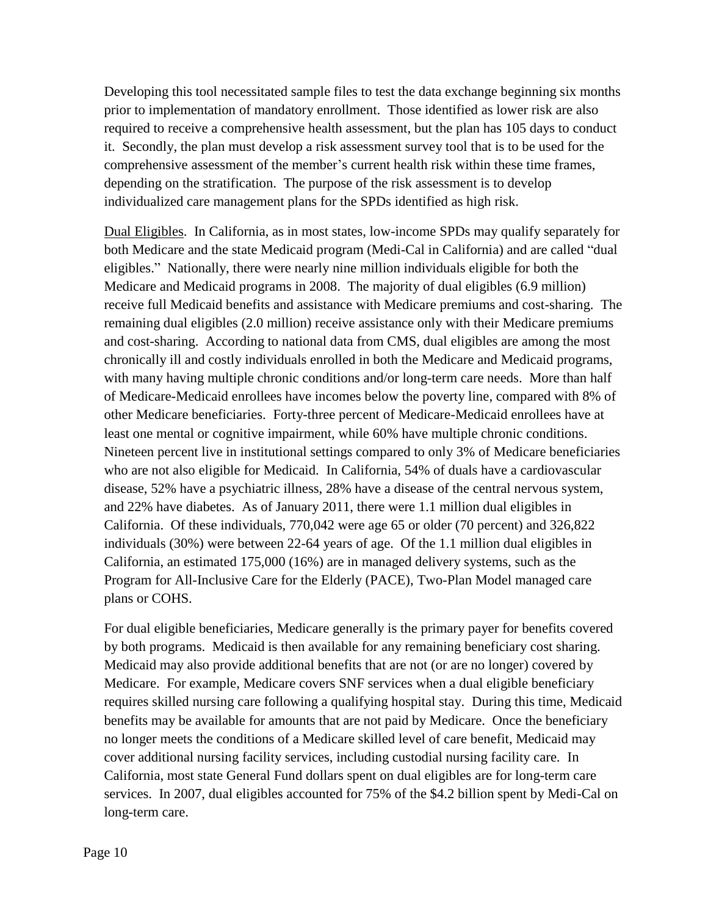Developing this tool necessitated sample files to test the data exchange beginning six months prior to implementation of mandatory enrollment. Those identified as lower risk are also required to receive a comprehensive health assessment, but the plan has 105 days to conduct it. Secondly, the plan must develop a risk assessment survey tool that is to be used for the comprehensive assessment of the member's current health risk within these time frames, depending on the stratification. The purpose of the risk assessment is to develop individualized care management plans for the SPDs identified as high risk.

Dual Eligibles. In California, as in most states, low-income SPDs may qualify separately for both Medicare and the state Medicaid program (Medi-Cal in California) and are called "dual eligibles." Nationally, there were nearly nine million individuals eligible for both the Medicare and Medicaid programs in 2008. The majority of dual eligibles (6.9 million) receive full Medicaid benefits and assistance with Medicare premiums and cost-sharing. The remaining dual eligibles (2.0 million) receive assistance only with their Medicare premiums and cost-sharing. According to national data from CMS, dual eligibles are among the most chronically ill and costly individuals enrolled in both the Medicare and Medicaid programs, with many having multiple chronic conditions and/or long-term care needs. More than half of Medicare-Medicaid enrollees have incomes below the poverty line, compared with 8% of other Medicare beneficiaries. Forty-three percent of Medicare-Medicaid enrollees have at least one mental or cognitive impairment, while 60% have multiple chronic conditions. Nineteen percent live in institutional settings compared to only 3% of Medicare beneficiaries who are not also eligible for Medicaid. In California, 54% of duals have a cardiovascular disease, 52% have a psychiatric illness, 28% have a disease of the central nervous system, and 22% have diabetes. As of January 2011, there were 1.1 million dual eligibles in California. Of these individuals, 770,042 were age 65 or older (70 percent) and 326,822 individuals (30%) were between 22-64 years of age. Of the 1.1 million dual eligibles in California, an estimated 175,000 (16%) are in managed delivery systems, such as the Program for All-Inclusive Care for the Elderly (PACE), Two-Plan Model managed care plans or COHS.

For dual eligible beneficiaries, Medicare generally is the primary payer for benefits covered by both programs. Medicaid is then available for any remaining beneficiary cost sharing. Medicaid may also provide additional benefits that are not (or are no longer) covered by Medicare. For example, Medicare covers SNF services when a dual eligible beneficiary requires skilled nursing care following a qualifying hospital stay. During this time, Medicaid benefits may be available for amounts that are not paid by Medicare. Once the beneficiary no longer meets the conditions of a Medicare skilled level of care benefit, Medicaid may cover additional nursing facility services, including custodial nursing facility care. In California, most state General Fund dollars spent on dual eligibles are for long-term care services. In 2007, dual eligibles accounted for 75% of the \$4.2 billion spent by Medi-Cal on long-term care.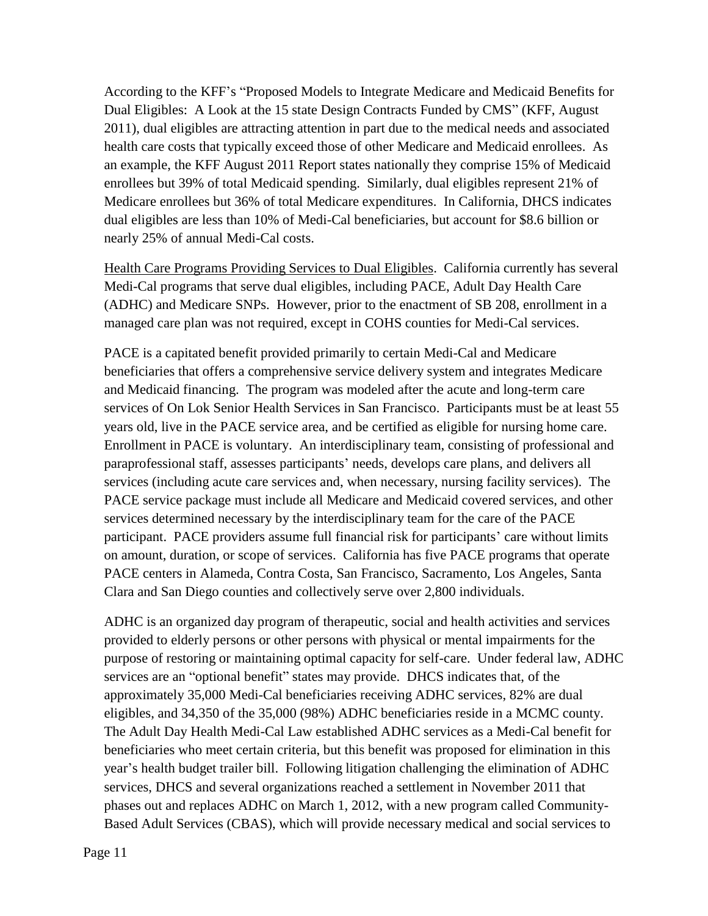According to the KFF's "Proposed Models to Integrate Medicare and Medicaid Benefits for Dual Eligibles: A Look at the 15 state Design Contracts Funded by CMS" (KFF, August 2011), dual eligibles are attracting attention in part due to the medical needs and associated health care costs that typically exceed those of other Medicare and Medicaid enrollees. As an example, the KFF August 2011 Report states nationally they comprise 15% of Medicaid enrollees but 39% of total Medicaid spending. Similarly, dual eligibles represent 21% of Medicare enrollees but 36% of total Medicare expenditures. In California, DHCS indicates dual eligibles are less than 10% of Medi-Cal beneficiaries, but account for \$8.6 billion or nearly 25% of annual Medi-Cal costs.

Health Care Programs Providing Services to Dual Eligibles. California currently has several Medi-Cal programs that serve dual eligibles, including PACE, Adult Day Health Care (ADHC) and Medicare SNPs. However, prior to the enactment of SB 208, enrollment in a managed care plan was not required, except in COHS counties for Medi-Cal services.

PACE is a capitated benefit provided primarily to certain Medi-Cal and Medicare beneficiaries that offers a comprehensive service delivery system and integrates Medicare and Medicaid financing. The program was modeled after the acute and long-term care services of On Lok Senior Health Services in San Francisco. Participants must be at least 55 years old, live in the PACE service area, and be certified as eligible for nursing home care. Enrollment in PACE is voluntary. An interdisciplinary team, consisting of professional and paraprofessional staff, assesses participants' needs, develops care plans, and delivers all services (including acute care services and, when necessary, nursing facility services). The PACE service package must include all Medicare and Medicaid covered services, and other services determined necessary by the interdisciplinary team for the care of the PACE participant. PACE providers assume full financial risk for participants' care without limits on amount, duration, or scope of services. California has five PACE programs that operate PACE centers in Alameda, Contra Costa, San Francisco, Sacramento, Los Angeles, Santa Clara and San Diego counties and collectively serve over 2,800 individuals.

ADHC is an organized day program of therapeutic, social and health activities and services provided to elderly persons or other persons with physical or mental impairments for the purpose of restoring or maintaining optimal capacity for self-care. Under federal law, ADHC services are an "optional benefit" states may provide. DHCS indicates that, of the approximately 35,000 Medi-Cal beneficiaries receiving ADHC services, 82% are dual eligibles, and 34,350 of the 35,000 (98%) ADHC beneficiaries reside in a MCMC county. The Adult Day Health Medi-Cal Law established ADHC services as a Medi-Cal benefit for beneficiaries who meet certain criteria, but this benefit was proposed for elimination in this year's health budget trailer bill. Following litigation challenging the elimination of ADHC services, DHCS and several organizations reached a settlement in November 2011 that phases out and replaces ADHC on March 1, 2012, with a new program called Community-Based Adult Services (CBAS), which will provide necessary medical and social services to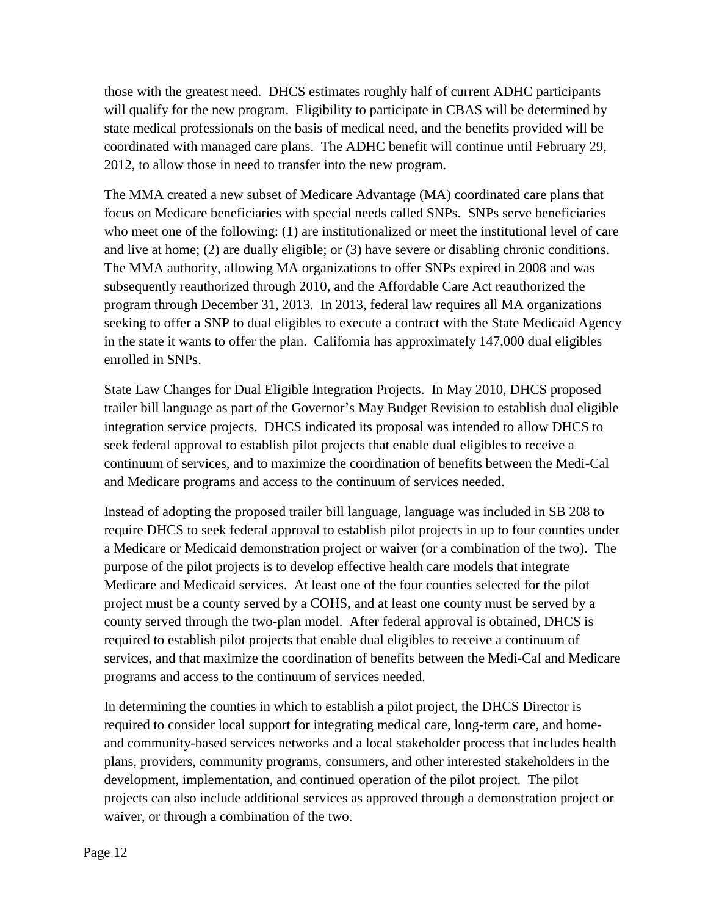those with the greatest need. DHCS estimates roughly half of current ADHC participants will qualify for the new program. Eligibility to participate in CBAS will be determined by state medical professionals on the basis of medical need, and the benefits provided will be coordinated with managed care plans. The ADHC benefit will continue until February 29, 2012, to allow those in need to transfer into the new program.

The MMA created a new subset of Medicare Advantage (MA) coordinated care plans that focus on Medicare beneficiaries with special needs called SNPs. SNPs serve beneficiaries who meet one of the following: (1) are institutionalized or meet the institutional level of care and live at home; (2) are dually eligible; or (3) have severe or disabling chronic conditions. The MMA authority, allowing MA organizations to offer SNPs expired in 2008 and was subsequently reauthorized through 2010, and the Affordable Care Act reauthorized the program through December 31, 2013. In 2013, federal law requires all MA organizations seeking to offer a SNP to dual eligibles to execute a contract with the State Medicaid Agency in the state it wants to offer the plan. California has approximately 147,000 dual eligibles enrolled in SNPs.

State Law Changes for Dual Eligible Integration Projects. In May 2010, DHCS proposed trailer bill language as part of the Governor's May Budget Revision to establish dual eligible integration service projects. DHCS indicated its proposal was intended to allow DHCS to seek federal approval to establish pilot projects that enable dual eligibles to receive a continuum of services, and to maximize the coordination of benefits between the Medi-Cal and Medicare programs and access to the continuum of services needed.

Instead of adopting the proposed trailer bill language, language was included in SB 208 to require DHCS to seek federal approval to establish pilot projects in up to four counties under a Medicare or Medicaid demonstration project or waiver (or a combination of the two). The purpose of the pilot projects is to develop effective health care models that integrate Medicare and Medicaid services. At least one of the four counties selected for the pilot project must be a county served by a COHS, and at least one county must be served by a county served through the two-plan model. After federal approval is obtained, DHCS is required to establish pilot projects that enable dual eligibles to receive a continuum of services, and that maximize the coordination of benefits between the Medi-Cal and Medicare programs and access to the continuum of services needed.

In determining the counties in which to establish a pilot project, the DHCS Director is required to consider local support for integrating medical care, long-term care, and homeand community-based services networks and a local stakeholder process that includes health plans, providers, community programs, consumers, and other interested stakeholders in the development, implementation, and continued operation of the pilot project. The pilot projects can also include additional services as approved through a demonstration project or waiver, or through a combination of the two.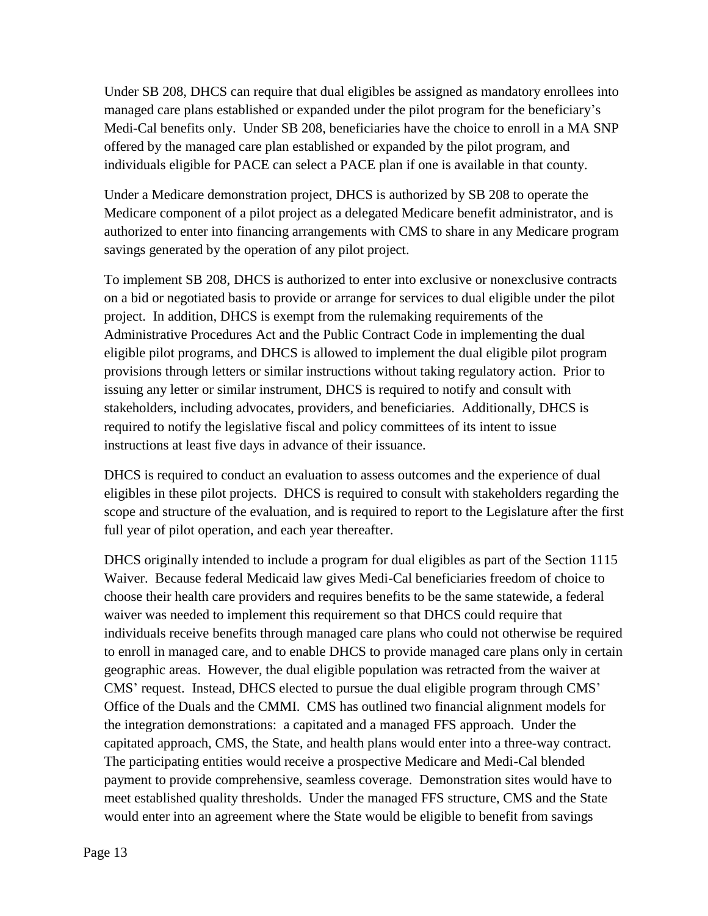Under SB 208, DHCS can require that dual eligibles be assigned as mandatory enrollees into managed care plans established or expanded under the pilot program for the beneficiary's Medi-Cal benefits only. Under SB 208, beneficiaries have the choice to enroll in a MA SNP offered by the managed care plan established or expanded by the pilot program, and individuals eligible for PACE can select a PACE plan if one is available in that county.

Under a Medicare demonstration project, DHCS is authorized by SB 208 to operate the Medicare component of a pilot project as a delegated Medicare benefit administrator, and is authorized to enter into financing arrangements with CMS to share in any Medicare program savings generated by the operation of any pilot project.

To implement SB 208, DHCS is authorized to enter into exclusive or nonexclusive contracts on a bid or negotiated basis to provide or arrange for services to dual eligible under the pilot project. In addition, DHCS is exempt from the rulemaking requirements of the Administrative Procedures Act and the Public Contract Code in implementing the dual eligible pilot programs, and DHCS is allowed to implement the dual eligible pilot program provisions through letters or similar instructions without taking regulatory action. Prior to issuing any letter or similar instrument, DHCS is required to notify and consult with stakeholders, including advocates, providers, and beneficiaries. Additionally, DHCS is required to notify the legislative fiscal and policy committees of its intent to issue instructions at least five days in advance of their issuance.

DHCS is required to conduct an evaluation to assess outcomes and the experience of dual eligibles in these pilot projects. DHCS is required to consult with stakeholders regarding the scope and structure of the evaluation, and is required to report to the Legislature after the first full year of pilot operation, and each year thereafter.

DHCS originally intended to include a program for dual eligibles as part of the Section 1115 Waiver. Because federal Medicaid law gives Medi-Cal beneficiaries freedom of choice to choose their health care providers and requires benefits to be the same statewide, a federal waiver was needed to implement this requirement so that DHCS could require that individuals receive benefits through managed care plans who could not otherwise be required to enroll in managed care, and to enable DHCS to provide managed care plans only in certain geographic areas. However, the dual eligible population was retracted from the waiver at CMS' request. Instead, DHCS elected to pursue the dual eligible program through CMS' Office of the Duals and the CMMI. CMS has outlined two financial alignment models for the integration demonstrations: a capitated and a managed FFS approach. Under the capitated approach, CMS, the State, and health plans would enter into a three-way contract. The participating entities would receive a prospective Medicare and Medi-Cal blended payment to provide comprehensive, seamless coverage. Demonstration sites would have to meet established quality thresholds. Under the managed FFS structure, CMS and the State would enter into an agreement where the State would be eligible to benefit from savings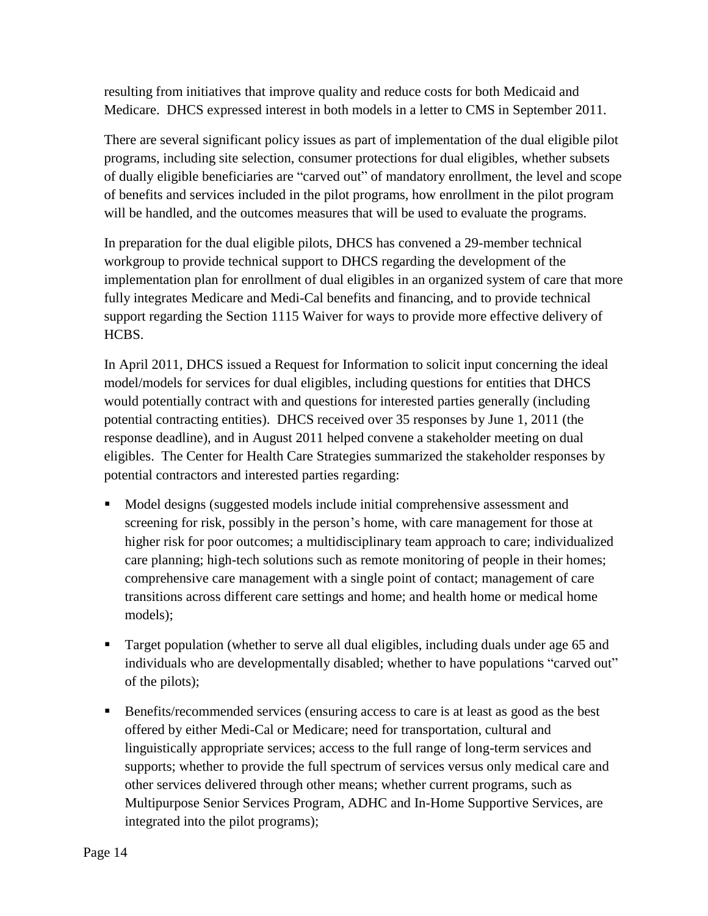resulting from initiatives that improve quality and reduce costs for both Medicaid and Medicare. DHCS expressed interest in both models in a letter to CMS in September 2011.

There are several significant policy issues as part of implementation of the dual eligible pilot programs, including site selection, consumer protections for dual eligibles, whether subsets of dually eligible beneficiaries are "carved out" of mandatory enrollment, the level and scope of benefits and services included in the pilot programs, how enrollment in the pilot program will be handled, and the outcomes measures that will be used to evaluate the programs.

In preparation for the dual eligible pilots, DHCS has convened a 29-member technical workgroup to provide technical support to DHCS regarding the development of the implementation plan for enrollment of dual eligibles in an organized system of care that more fully integrates Medicare and Medi-Cal benefits and financing, and to provide technical support regarding the Section 1115 Waiver for ways to provide more effective delivery of HCBS.

In April 2011, DHCS issued a Request for Information to solicit input concerning the ideal model/models for services for dual eligibles, including questions for entities that DHCS would potentially contract with and questions for interested parties generally (including potential contracting entities). DHCS received over 35 responses by June 1, 2011 (the response deadline), and in August 2011 helped convene a stakeholder meeting on dual eligibles. The Center for Health Care Strategies summarized the stakeholder responses by potential contractors and interested parties regarding:

- Model designs (suggested models include initial comprehensive assessment and screening for risk, possibly in the person's home, with care management for those at higher risk for poor outcomes; a multidisciplinary team approach to care; individualized care planning; high-tech solutions such as remote monitoring of people in their homes; comprehensive care management with a single point of contact; management of care transitions across different care settings and home; and health home or medical home models);
- **Target population (whether to serve all dual eligibles, including duals under age 65 and** individuals who are developmentally disabled; whether to have populations "carved out" of the pilots);
- Benefits/recommended services (ensuring access to care is at least as good as the best offered by either Medi-Cal or Medicare; need for transportation, cultural and linguistically appropriate services; access to the full range of long-term services and supports; whether to provide the full spectrum of services versus only medical care and other services delivered through other means; whether current programs, such as Multipurpose Senior Services Program, ADHC and In-Home Supportive Services, are integrated into the pilot programs);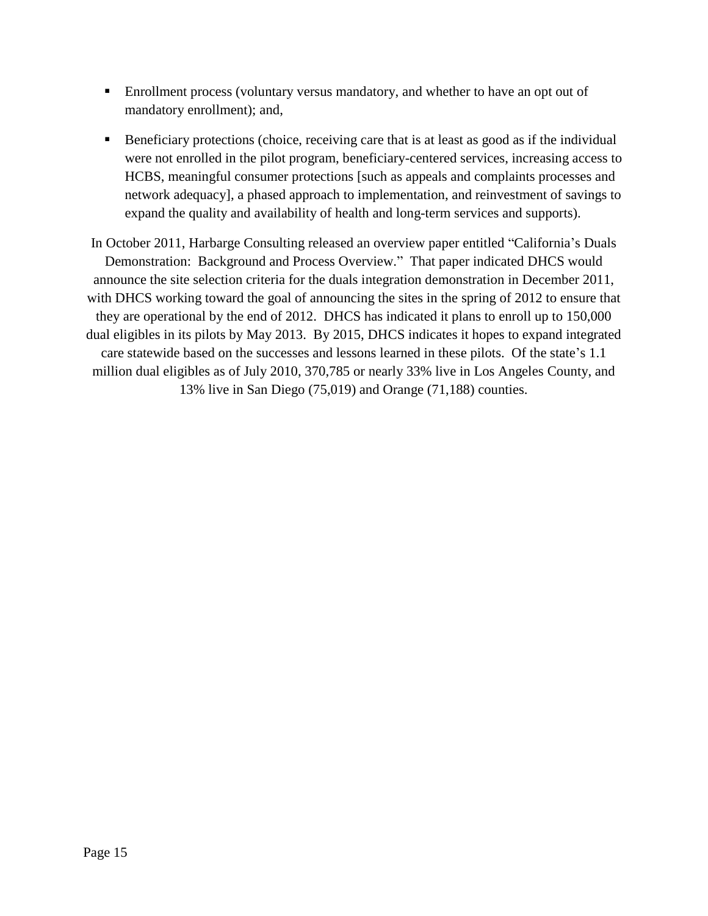- Enrollment process (voluntary versus mandatory, and whether to have an opt out of mandatory enrollment); and,
- Beneficiary protections (choice, receiving care that is at least as good as if the individual were not enrolled in the pilot program, beneficiary-centered services, increasing access to HCBS, meaningful consumer protections [such as appeals and complaints processes and network adequacy], a phased approach to implementation, and reinvestment of savings to expand the quality and availability of health and long-term services and supports).

In October 2011, Harbarge Consulting released an overview paper entitled "California's Duals Demonstration: Background and Process Overview." That paper indicated DHCS would announce the site selection criteria for the duals integration demonstration in December 2011, with DHCS working toward the goal of announcing the sites in the spring of 2012 to ensure that they are operational by the end of 2012. DHCS has indicated it plans to enroll up to 150,000 dual eligibles in its pilots by May 2013. By 2015, DHCS indicates it hopes to expand integrated care statewide based on the successes and lessons learned in these pilots. Of the state's 1.1 million dual eligibles as of July 2010, 370,785 or nearly 33% live in Los Angeles County, and 13% live in San Diego (75,019) and Orange (71,188) counties.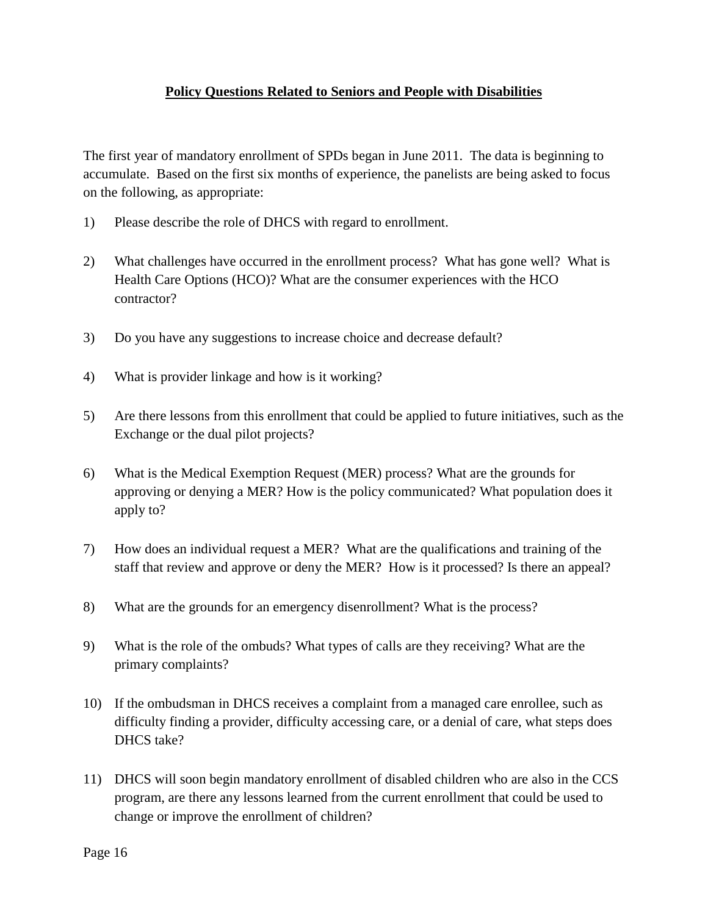### **Policy Questions Related to Seniors and People with Disabilities**

The first year of mandatory enrollment of SPDs began in June 2011. The data is beginning to accumulate. Based on the first six months of experience, the panelists are being asked to focus on the following, as appropriate:

- 1) Please describe the role of DHCS with regard to enrollment.
- 2) What challenges have occurred in the enrollment process? What has gone well? What is Health Care Options (HCO)? What are the consumer experiences with the HCO contractor?
- 3) Do you have any suggestions to increase choice and decrease default?
- 4) What is provider linkage and how is it working?
- 5) Are there lessons from this enrollment that could be applied to future initiatives, such as the Exchange or the dual pilot projects?
- 6) What is the Medical Exemption Request (MER) process? What are the grounds for approving or denying a MER? How is the policy communicated? What population does it apply to?
- 7) How does an individual request a MER? What are the qualifications and training of the staff that review and approve or deny the MER? How is it processed? Is there an appeal?
- 8) What are the grounds for an emergency disenrollment? What is the process?
- 9) What is the role of the ombuds? What types of calls are they receiving? What are the primary complaints?
- 10) If the ombudsman in DHCS receives a complaint from a managed care enrollee, such as difficulty finding a provider, difficulty accessing care, or a denial of care, what steps does DHCS take?
- 11) DHCS will soon begin mandatory enrollment of disabled children who are also in the CCS program, are there any lessons learned from the current enrollment that could be used to change or improve the enrollment of children?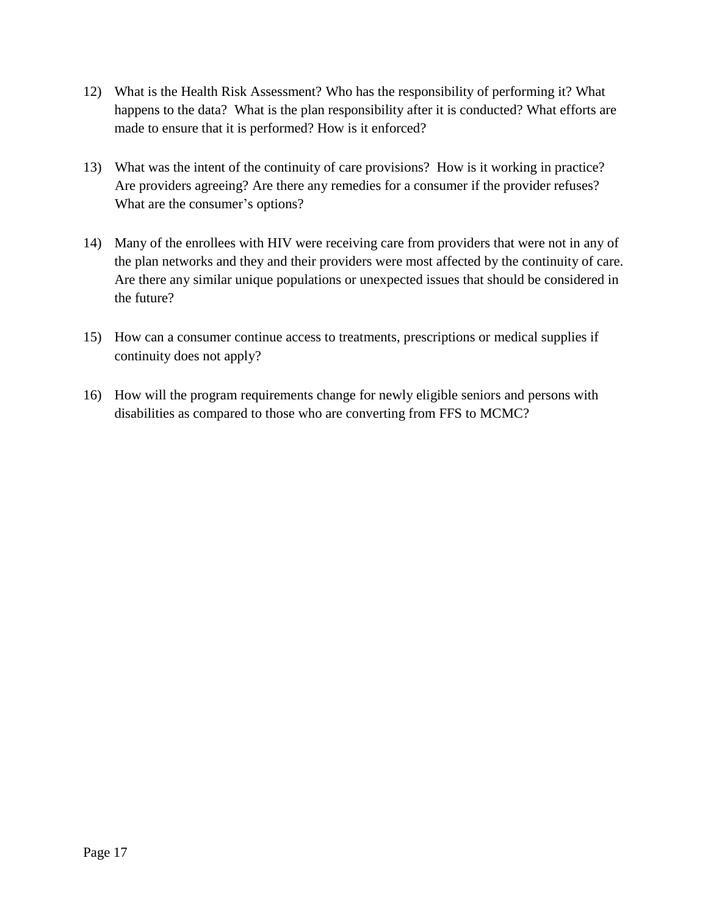- 12) What is the Health Risk Assessment? Who has the responsibility of performing it? What happens to the data? What is the plan responsibility after it is conducted? What efforts are made to ensure that it is performed? How is it enforced?
- 13) What was the intent of the continuity of care provisions? How is it working in practice? Are providers agreeing? Are there any remedies for a consumer if the provider refuses? What are the consumer's options?
- 14) Many of the enrollees with HIV were receiving care from providers that were not in any of the plan networks and they and their providers were most affected by the continuity of care. Are there any similar unique populations or unexpected issues that should be considered in the future?
- 15) How can a consumer continue access to treatments, prescriptions or medical supplies if continuity does not apply?
- 16) How will the program requirements change for newly eligible seniors and persons with disabilities as compared to those who are converting from FFS to MCMC?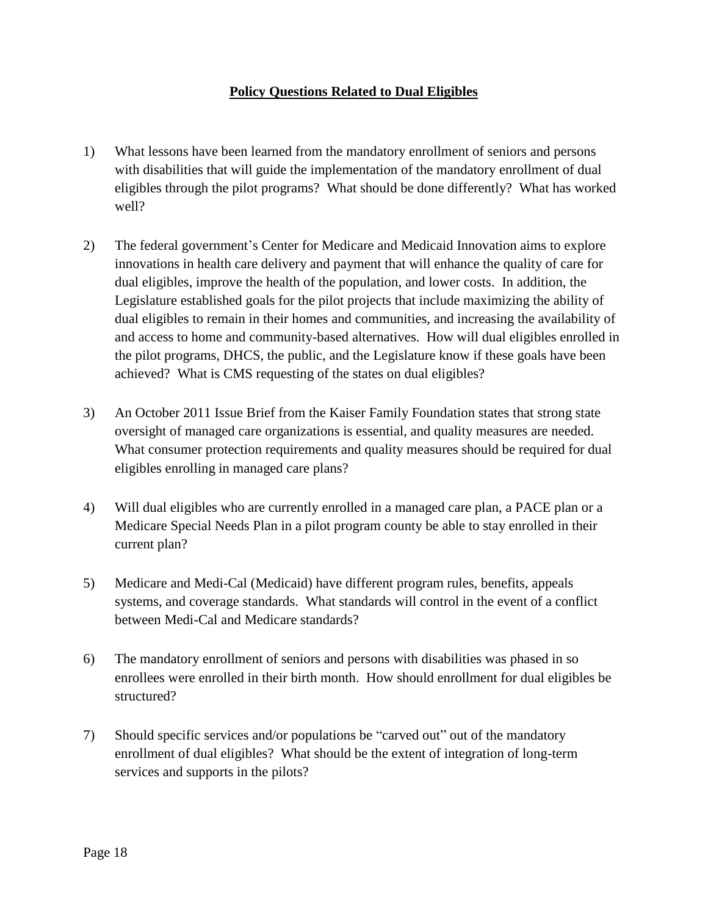### **Policy Questions Related to Dual Eligibles**

- 1) What lessons have been learned from the mandatory enrollment of seniors and persons with disabilities that will guide the implementation of the mandatory enrollment of dual eligibles through the pilot programs? What should be done differently? What has worked well?
- 2) The federal government's Center for Medicare and Medicaid Innovation aims to explore innovations in health care delivery and payment that will enhance the quality of care for dual eligibles, improve the health of the population, and lower costs. In addition, the Legislature established goals for the pilot projects that include maximizing the ability of dual eligibles to remain in their homes and communities, and increasing the availability of and access to home and community-based alternatives. How will dual eligibles enrolled in the pilot programs, DHCS, the public, and the Legislature know if these goals have been achieved? What is CMS requesting of the states on dual eligibles?
- 3) An October 2011 Issue Brief from the Kaiser Family Foundation states that strong state oversight of managed care organizations is essential, and quality measures are needed. What consumer protection requirements and quality measures should be required for dual eligibles enrolling in managed care plans?
- 4) Will dual eligibles who are currently enrolled in a managed care plan, a PACE plan or a Medicare Special Needs Plan in a pilot program county be able to stay enrolled in their current plan?
- 5) Medicare and Medi-Cal (Medicaid) have different program rules, benefits, appeals systems, and coverage standards. What standards will control in the event of a conflict between Medi-Cal and Medicare standards?
- 6) The mandatory enrollment of seniors and persons with disabilities was phased in so enrollees were enrolled in their birth month. How should enrollment for dual eligibles be structured?
- 7) Should specific services and/or populations be "carved out" out of the mandatory enrollment of dual eligibles? What should be the extent of integration of long-term services and supports in the pilots?